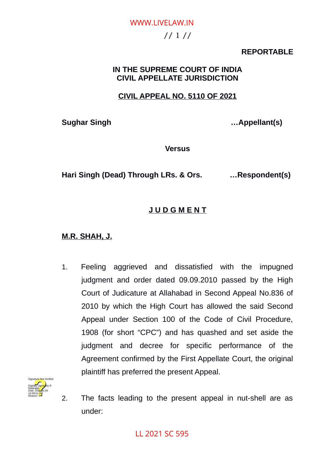# // 1 // WWW.LIVELAW.IN

## **REPORTABLE**

## **IN THE SUPREME COURT OF INDIA CIVIL APPELLATE JURISDICTION**

## **CIVIL APPEAL NO. 5110 OF 2021**

**Sughar Singh …Appellant(s)**

**Versus**

**Hari Singh (Dead) Through LRs. & Ors. …Respondent(s)**

## **J U D G M E N T**

## **M.R. SHAH, J.**

1. Feeling aggrieved and dissatisfied with the impugned judgment and order dated 09.09.2010 passed by the High Court of Judicature at Allahabad in Second Appeal No.836 of 2010 by which the High Court has allowed the said Second Appeal under Section 100 of the Code of Civil Procedure, 1908 (for short "CPC") and has quashed and set aside the judgment and decree for specific performance of the Agreement confirmed by the First Appellate Court, the original plaintiff has preferred the present Appeal.



2. The facts leading to the present appeal in nut-shell are as under: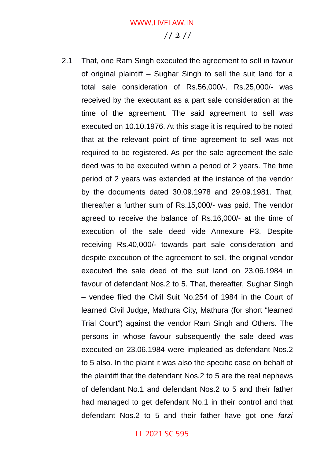# // 2 // WWW.LIVELAW.IN

2.1 That, one Ram Singh executed the agreement to sell in favour of original plaintiff – Sughar Singh to sell the suit land for a total sale consideration of Rs.56,000/-. Rs.25,000/- was received by the executant as a part sale consideration at the time of the agreement. The said agreement to sell was executed on 10.10.1976. At this stage it is required to be noted that at the relevant point of time agreement to sell was not required to be registered. As per the sale agreement the sale deed was to be executed within a period of 2 years. The time period of 2 years was extended at the instance of the vendor by the documents dated 30.09.1978 and 29.09.1981. That, thereafter a further sum of Rs.15,000/- was paid. The vendor agreed to receive the balance of Rs.16,000/- at the time of execution of the sale deed vide Annexure P3. Despite receiving Rs.40,000/- towards part sale consideration and despite execution of the agreement to sell, the original vendor executed the sale deed of the suit land on 23.06.1984 in favour of defendant Nos.2 to 5. That, thereafter, Sughar Singh – vendee filed the Civil Suit No.254 of 1984 in the Court of learned Civil Judge, Mathura City, Mathura (for short "learned Trial Court") against the vendor Ram Singh and Others. The persons in whose favour subsequently the sale deed was executed on 23.06.1984 were impleaded as defendant Nos.2 to 5 also. In the plaint it was also the specific case on behalf of the plaintiff that the defendant Nos.2 to 5 are the real nephews of defendant No.1 and defendant Nos.2 to 5 and their father had managed to get defendant No.1 in their control and that defendant Nos.2 to 5 and their father have got one *farzi*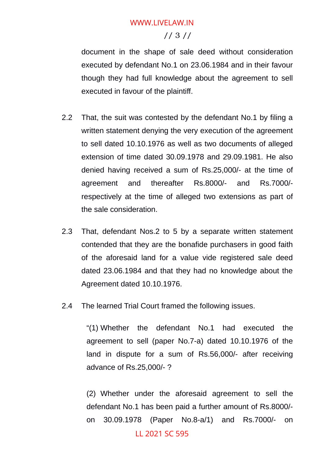## // 3 //

document in the shape of sale deed without consideration executed by defendant No.1 on 23.06.1984 and in their favour though they had full knowledge about the agreement to sell executed in favour of the plaintiff.

- 2.2 That, the suit was contested by the defendant No.1 by filing a written statement denying the very execution of the agreement to sell dated 10.10.1976 as well as two documents of alleged extension of time dated 30.09.1978 and 29.09.1981. He also denied having received a sum of Rs.25,000/- at the time of agreement and thereafter Rs.8000/- and Rs.7000/ respectively at the time of alleged two extensions as part of the sale consideration.
- 2.3 That, defendant Nos.2 to 5 by a separate written statement contended that they are the bonafide purchasers in good faith of the aforesaid land for a value vide registered sale deed dated 23.06.1984 and that they had no knowledge about the Agreement dated 10.10.1976.
- 2.4 The learned Trial Court framed the following issues.

"(1) Whether the defendant No.1 had executed the agreement to sell (paper No.7-a) dated 10.10.1976 of the land in dispute for a sum of Rs.56,000/- after receiving advance of Rs.25,000/- ?

(2) Whether under the aforesaid agreement to sell the defendant No.1 has been paid a further amount of Rs.8000/ on 30.09.1978 (Paper No.8-a/1) and Rs.7000/- on LL 2021 SC 595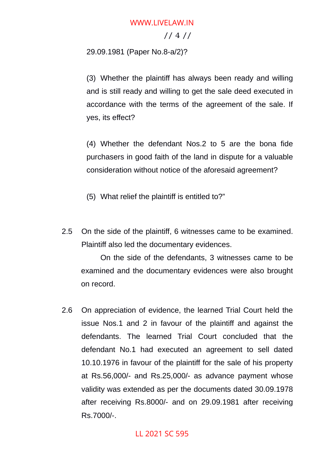### // 4 //

29.09.1981 (Paper No.8-a/2)?

(3) Whether the plaintiff has always been ready and willing and is still ready and willing to get the sale deed executed in accordance with the terms of the agreement of the sale. If yes, its effect?

(4) Whether the defendant Nos.2 to 5 are the bona fide purchasers in good faith of the land in dispute for a valuable consideration without notice of the aforesaid agreement?

(5) What relief the plaintiff is entitled to?"

2.5 On the side of the plaintiff, 6 witnesses came to be examined. Plaintiff also led the documentary evidences.

On the side of the defendants, 3 witnesses came to be examined and the documentary evidences were also brought on record.

2.6 On appreciation of evidence, the learned Trial Court held the issue Nos.1 and 2 in favour of the plaintiff and against the defendants. The learned Trial Court concluded that the defendant No.1 had executed an agreement to sell dated 10.10.1976 in favour of the plaintiff for the sale of his property at Rs.56,000/- and Rs.25,000/- as advance payment whose validity was extended as per the documents dated 30.09.1978 after receiving Rs.8000/- and on 29.09.1981 after receiving Rs.7000/-.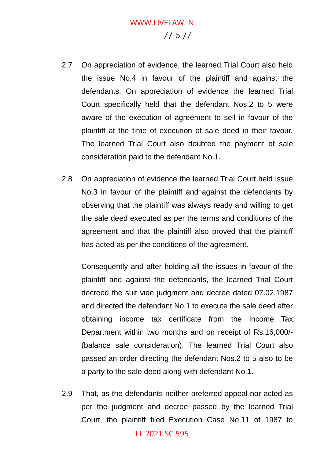# // 5 // WWW.LIVELAW.IN

- 2.7 On appreciation of evidence, the learned Trial Court also held the issue No.4 in favour of the plaintiff and against the defendants. On appreciation of evidence the learned Trial Court specifically held that the defendant Nos.2 to 5 were aware of the execution of agreement to sell in favour of the plaintiff at the time of execution of sale deed in their favour. The learned Trial Court also doubted the payment of sale consideration paid to the defendant No.1.
- 2.8 On appreciation of evidence the learned Trial Court held issue No.3 in favour of the plaintiff and against the defendants by observing that the plaintiff was always ready and willing to get the sale deed executed as per the terms and conditions of the agreement and that the plaintiff also proved that the plaintiff has acted as per the conditions of the agreement.

Consequently and after holding all the issues in favour of the plaintiff and against the defendants, the learned Trial Court decreed the suit vide judgment and decree dated 07.02.1987 and directed the defendant No.1 to execute the sale deed after obtaining income tax certificate from the Income Tax Department within two months and on receipt of Rs.16,000/- (balance sale consideration). The learned Trial Court also passed an order directing the defendant Nos.2 to 5 also to be a party to the sale deed along with defendant No.1.

2.9 That, as the defendants neither preferred appeal nor acted as per the judgment and decree passed by the learned Trial Court, the plaintiff filed Execution Case No.11 of 1987 to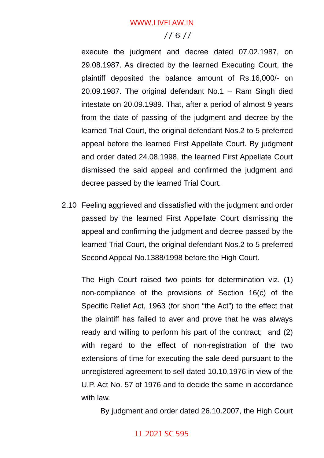## // 6 //

execute the judgment and decree dated 07.02.1987, on 29.08.1987. As directed by the learned Executing Court, the plaintiff deposited the balance amount of Rs.16,000/- on 20.09.1987. The original defendant No.1 – Ram Singh died intestate on 20.09.1989. That, after a period of almost 9 years from the date of passing of the judgment and decree by the learned Trial Court, the original defendant Nos.2 to 5 preferred appeal before the learned First Appellate Court. By judgment and order dated 24.08.1998, the learned First Appellate Court dismissed the said appeal and confirmed the judgment and decree passed by the learned Trial Court.

2.10 Feeling aggrieved and dissatisfied with the judgment and order passed by the learned First Appellate Court dismissing the appeal and confirming the judgment and decree passed by the learned Trial Court, the original defendant Nos.2 to 5 preferred Second Appeal No.1388/1998 before the High Court.

The High Court raised two points for determination viz. (1) non-compliance of the provisions of Section 16(c) of the Specific Relief Act, 1963 (for short "the Act") to the effect that the plaintiff has failed to aver and prove that he was always ready and willing to perform his part of the contract; and (2) with regard to the effect of non-registration of the two extensions of time for executing the sale deed pursuant to the unregistered agreement to sell dated 10.10.1976 in view of the U.P. Act No. 57 of 1976 and to decide the same in accordance with law.

By judgment and order dated 26.10.2007, the High Court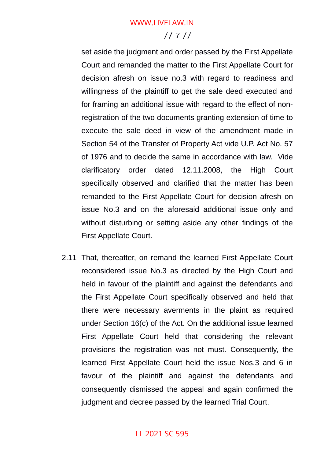## // 7 // WWW.LIVELAW.IN

set aside the judgment and order passed by the First Appellate Court and remanded the matter to the First Appellate Court for decision afresh on issue no.3 with regard to readiness and willingness of the plaintiff to get the sale deed executed and for framing an additional issue with regard to the effect of nonregistration of the two documents granting extension of time to execute the sale deed in view of the amendment made in Section 54 of the Transfer of Property Act vide U.P. Act No. 57 of 1976 and to decide the same in accordance with law. Vide clarificatory order dated 12.11.2008, the High Court specifically observed and clarified that the matter has been remanded to the First Appellate Court for decision afresh on issue No.3 and on the aforesaid additional issue only and without disturbing or setting aside any other findings of the First Appellate Court.

2.11 That, thereafter, on remand the learned First Appellate Court reconsidered issue No.3 as directed by the High Court and held in favour of the plaintiff and against the defendants and the First Appellate Court specifically observed and held that there were necessary averments in the plaint as required under Section 16(c) of the Act. On the additional issue learned First Appellate Court held that considering the relevant provisions the registration was not must. Consequently, the learned First Appellate Court held the issue Nos.3 and 6 in favour of the plaintiff and against the defendants and consequently dismissed the appeal and again confirmed the judgment and decree passed by the learned Trial Court.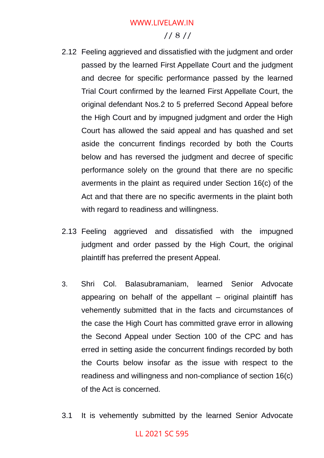## // 8 //

- 2.12 Feeling aggrieved and dissatisfied with the judgment and order passed by the learned First Appellate Court and the judgment and decree for specific performance passed by the learned Trial Court confirmed by the learned First Appellate Court, the original defendant Nos.2 to 5 preferred Second Appeal before the High Court and by impugned judgment and order the High Court has allowed the said appeal and has quashed and set aside the concurrent findings recorded by both the Courts below and has reversed the judgment and decree of specific performance solely on the ground that there are no specific averments in the plaint as required under Section 16(c) of the Act and that there are no specific averments in the plaint both with regard to readiness and willingness.
- 2.13 Feeling aggrieved and dissatisfied with the impugned judgment and order passed by the High Court, the original plaintiff has preferred the present Appeal.
- 3. Shri Col. Balasubramaniam, learned Senior Advocate appearing on behalf of the appellant – original plaintiff has vehemently submitted that in the facts and circumstances of the case the High Court has committed grave error in allowing the Second Appeal under Section 100 of the CPC and has erred in setting aside the concurrent findings recorded by both the Courts below insofar as the issue with respect to the readiness and willingness and non-compliance of section 16(c) of the Act is concerned.
- 3.1 It is vehemently submitted by the learned Senior Advocate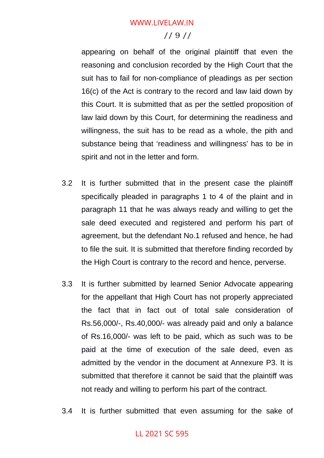## // 9 //

appearing on behalf of the original plaintiff that even the reasoning and conclusion recorded by the High Court that the suit has to fail for non-compliance of pleadings as per section 16(c) of the Act is contrary to the record and law laid down by this Court. It is submitted that as per the settled proposition of law laid down by this Court, for determining the readiness and willingness, the suit has to be read as a whole, the pith and substance being that 'readiness and willingness' has to be in spirit and not in the letter and form.

- 3.2 It is further submitted that in the present case the plaintiff specifically pleaded in paragraphs 1 to 4 of the plaint and in paragraph 11 that he was always ready and willing to get the sale deed executed and registered and perform his part of agreement, but the defendant No.1 refused and hence, he had to file the suit. It is submitted that therefore finding recorded by the High Court is contrary to the record and hence, perverse.
- 3.3 It is further submitted by learned Senior Advocate appearing for the appellant that High Court has not properly appreciated the fact that in fact out of total sale consideration of Rs.56,000/-, Rs.40,000/- was already paid and only a balance of Rs.16,000/- was left to be paid, which as such was to be paid at the time of execution of the sale deed, even as admitted by the vendor in the document at Annexure P3. It is submitted that therefore it cannot be said that the plaintiff was not ready and willing to perform his part of the contract.
- 3.4 It is further submitted that even assuming for the sake of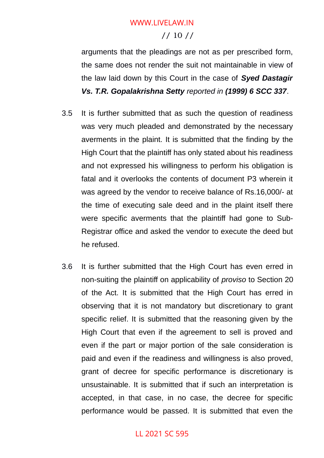## // 10 // WWW.LIVELAW.IN

arguments that the pleadings are not as per prescribed form, the same does not render the suit not maintainable in view of the law laid down by this Court in the case of *Syed Dastagir Vs. T.R. Gopalakrishna Setty reported in (1999) 6 SCC 337*.

- 3.5 It is further submitted that as such the question of readiness was very much pleaded and demonstrated by the necessary averments in the plaint. It is submitted that the finding by the High Court that the plaintiff has only stated about his readiness and not expressed his willingness to perform his obligation is fatal and it overlooks the contents of document P3 wherein it was agreed by the vendor to receive balance of Rs.16,000/- at the time of executing sale deed and in the plaint itself there were specific averments that the plaintiff had gone to Sub-Registrar office and asked the vendor to execute the deed but he refused.
- 3.6 It is further submitted that the High Court has even erred in non-suiting the plaintiff on applicability of *proviso* to Section 20 of the Act. It is submitted that the High Court has erred in observing that it is not mandatory but discretionary to grant specific relief. It is submitted that the reasoning given by the High Court that even if the agreement to sell is proved and even if the part or major portion of the sale consideration is paid and even if the readiness and willingness is also proved, grant of decree for specific performance is discretionary is unsustainable. It is submitted that if such an interpretation is accepted, in that case, in no case, the decree for specific performance would be passed. It is submitted that even the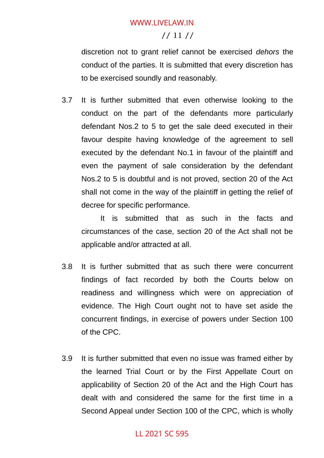## // 11 //

discretion not to grant relief cannot be exercised *dehors* the conduct of the parties. It is submitted that every discretion has to be exercised soundly and reasonably.

3.7 It is further submitted that even otherwise looking to the conduct on the part of the defendants more particularly defendant Nos.2 to 5 to get the sale deed executed in their favour despite having knowledge of the agreement to sell executed by the defendant No.1 in favour of the plaintiff and even the payment of sale consideration by the defendant Nos.2 to 5 is doubtful and is not proved, section 20 of the Act shall not come in the way of the plaintiff in getting the relief of decree for specific performance.

It is submitted that as such in the facts and circumstances of the case, section 20 of the Act shall not be applicable and/or attracted at all.

- 3.8 It is further submitted that as such there were concurrent findings of fact recorded by both the Courts below on readiness and willingness which were on appreciation of evidence. The High Court ought not to have set aside the concurrent findings, in exercise of powers under Section 100 of the CPC.
- 3.9 It is further submitted that even no issue was framed either by the learned Trial Court or by the First Appellate Court on applicability of Section 20 of the Act and the High Court has dealt with and considered the same for the first time in a Second Appeal under Section 100 of the CPC, which is wholly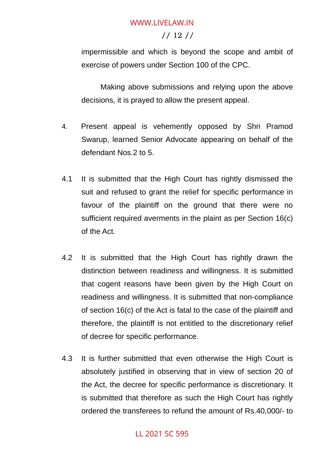### // 12 //

impermissible and which is beyond the scope and ambit of exercise of powers under Section 100 of the CPC.

Making above submissions and relying upon the above decisions, it is prayed to allow the present appeal.

- 4. Present appeal is vehemently opposed by Shri Pramod Swarup, learned Senior Advocate appearing on behalf of the defendant Nos.2 to 5.
- 4.1 It is submitted that the High Court has rightly dismissed the suit and refused to grant the relief for specific performance in favour of the plaintiff on the ground that there were no sufficient required averments in the plaint as per Section 16(c) of the Act.
- 4.2 It is submitted that the High Court has rightly drawn the distinction between readiness and willingness. It is submitted that cogent reasons have been given by the High Court on readiness and willingness. It is submitted that non-compliance of section 16(c) of the Act is fatal to the case of the plaintiff and therefore, the plaintiff is not entitled to the discretionary relief of decree for specific performance.
- 4.3 It is further submitted that even otherwise the High Court is absolutely justified in observing that in view of section 20 of the Act, the decree for specific performance is discretionary. It is submitted that therefore as such the High Court has rightly ordered the transferees to refund the amount of Rs.40,000/- to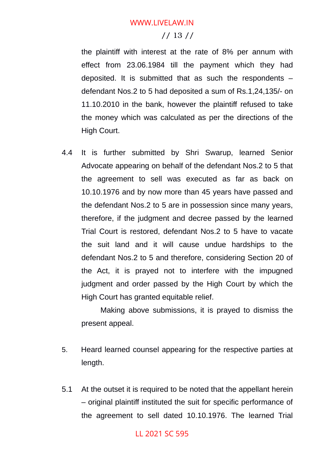## // 13 //

the plaintiff with interest at the rate of 8% per annum with effect from 23.06.1984 till the payment which they had deposited. It is submitted that as such the respondents – defendant Nos.2 to 5 had deposited a sum of Rs.1,24,135/- on 11.10.2010 in the bank, however the plaintiff refused to take the money which was calculated as per the directions of the High Court.

4.4 It is further submitted by Shri Swarup, learned Senior Advocate appearing on behalf of the defendant Nos.2 to 5 that the agreement to sell was executed as far as back on 10.10.1976 and by now more than 45 years have passed and the defendant Nos.2 to 5 are in possession since many years, therefore, if the judgment and decree passed by the learned Trial Court is restored, defendant Nos.2 to 5 have to vacate the suit land and it will cause undue hardships to the defendant Nos.2 to 5 and therefore, considering Section 20 of the Act, it is prayed not to interfere with the impugned judgment and order passed by the High Court by which the High Court has granted equitable relief.

Making above submissions, it is prayed to dismiss the present appeal.

- 5. Heard learned counsel appearing for the respective parties at length.
- 5.1 At the outset it is required to be noted that the appellant herein – original plaintiff instituted the suit for specific performance of the agreement to sell dated 10.10.1976. The learned Trial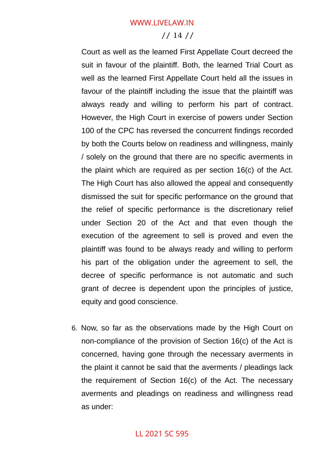### // 14 //

Court as well as the learned First Appellate Court decreed the suit in favour of the plaintiff. Both, the learned Trial Court as well as the learned First Appellate Court held all the issues in favour of the plaintiff including the issue that the plaintiff was always ready and willing to perform his part of contract. However, the High Court in exercise of powers under Section 100 of the CPC has reversed the concurrent findings recorded by both the Courts below on readiness and willingness, mainly / solely on the ground that there are no specific averments in the plaint which are required as per section 16(c) of the Act. The High Court has also allowed the appeal and consequently dismissed the suit for specific performance on the ground that the relief of specific performance is the discretionary relief under Section 20 of the Act and that even though the execution of the agreement to sell is proved and even the plaintiff was found to be always ready and willing to perform his part of the obligation under the agreement to sell, the decree of specific performance is not automatic and such grant of decree is dependent upon the principles of justice, equity and good conscience.

6. Now, so far as the observations made by the High Court on non-compliance of the provision of Section 16(c) of the Act is concerned, having gone through the necessary averments in the plaint it cannot be said that the averments / pleadings lack the requirement of Section 16(c) of the Act. The necessary averments and pleadings on readiness and willingness read as under: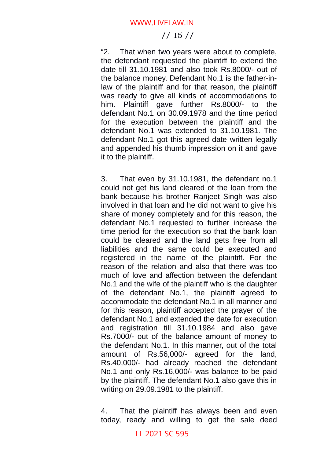## // 15 //

"2. That when two years were about to complete, the defendant requested the plaintiff to extend the date till 31.10.1981 and also took Rs.8000/- out of the balance money. Defendant No.1 is the father-inlaw of the plaintiff and for that reason, the plaintiff was ready to give all kinds of accommodations to him. Plaintiff gave further Rs.8000/- to the defendant No.1 on 30.09.1978 and the time period for the execution between the plaintiff and the defendant No.1 was extended to 31.10.1981. The defendant No.1 got this agreed date written legally and appended his thumb impression on it and gave it to the plaintiff.

3. That even by 31.10.1981, the defendant no.1 could not get his land cleared of the loan from the bank because his brother Ranjeet Singh was also involved in that loan and he did not want to give his share of money completely and for this reason, the defendant No.1 requested to further increase the time period for the execution so that the bank loan could be cleared and the land gets free from all liabilities and the same could be executed and registered in the name of the plaintiff. For the reason of the relation and also that there was too much of love and affection between the defendant No.1 and the wife of the plaintiff who is the daughter of the defendant No.1, the plaintiff agreed to accommodate the defendant No.1 in all manner and for this reason, plaintiff accepted the prayer of the defendant No.1 and extended the date for execution and registration till 31.10.1984 and also gave Rs.7000/- out of the balance amount of money to the defendant No.1. In this manner, out of the total amount of Rs.56,000/- agreed for the land, Rs.40,000/- had already reached the defendant No.1 and only Rs.16,000/- was balance to be paid by the plaintiff. The defendant No.1 also gave this in writing on 29.09.1981 to the plaintiff.

4. That the plaintiff has always been and even today, ready and willing to get the sale deed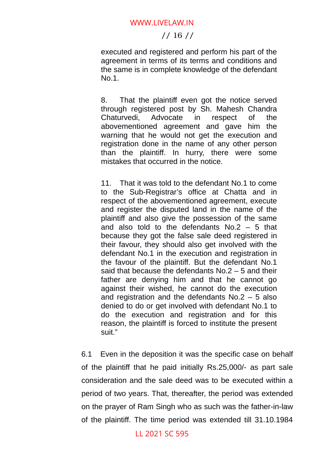#### // 16 //

executed and registered and perform his part of the agreement in terms of its terms and conditions and the same is in complete knowledge of the defendant No.1.

8. That the plaintiff even got the notice served through registered post by Sh. Mahesh Chandra Chaturvedi, Advocate in respect of the abovementioned agreement and gave him the warning that he would not get the execution and registration done in the name of any other person than the plaintiff. In hurry, there were some mistakes that occurred in the notice.

11. That it was told to the defendant No.1 to come to the Sub-Registrar's office at Chatta and in respect of the abovementioned agreement, execute and register the disputed land in the name of the plaintiff and also give the possession of the same and also told to the defendants No.2 – 5 that because they got the false sale deed registered in their favour, they should also get involved with the defendant No.1 in the execution and registration in the favour of the plaintiff. But the defendant No.1 said that because the defendants No.2 – 5 and their father are denying him and that he cannot go against their wished, he cannot do the execution and registration and the defendants No.2 – 5 also denied to do or get involved with defendant No.1 to do the execution and registration and for this reason, the plaintiff is forced to institute the present suit."

6.1 Even in the deposition it was the specific case on behalf of the plaintiff that he paid initially Rs.25,000/- as part sale consideration and the sale deed was to be executed within a period of two years. That, thereafter, the period was extended on the prayer of Ram Singh who as such was the father-in-law of the plaintiff. The time period was extended till 31.10.1984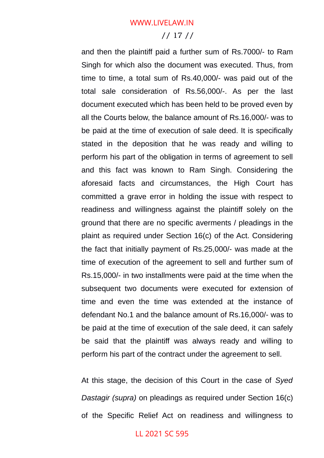#### // 17 //

and then the plaintiff paid a further sum of Rs.7000/- to Ram Singh for which also the document was executed. Thus, from time to time, a total sum of Rs.40,000/- was paid out of the total sale consideration of Rs.56,000/-. As per the last document executed which has been held to be proved even by all the Courts below, the balance amount of Rs.16,000/- was to be paid at the time of execution of sale deed. It is specifically stated in the deposition that he was ready and willing to perform his part of the obligation in terms of agreement to sell and this fact was known to Ram Singh. Considering the aforesaid facts and circumstances, the High Court has committed a grave error in holding the issue with respect to readiness and willingness against the plaintiff solely on the ground that there are no specific averments / pleadings in the plaint as required under Section 16(c) of the Act. Considering the fact that initially payment of Rs.25,000/- was made at the time of execution of the agreement to sell and further sum of Rs.15,000/- in two installments were paid at the time when the subsequent two documents were executed for extension of time and even the time was extended at the instance of defendant No.1 and the balance amount of Rs.16,000/- was to be paid at the time of execution of the sale deed, it can safely be said that the plaintiff was always ready and willing to perform his part of the contract under the agreement to sell.

At this stage, the decision of this Court in the case of *Syed Dastagir (supra)* on pleadings as required under Section 16(c) of the Specific Relief Act on readiness and willingness to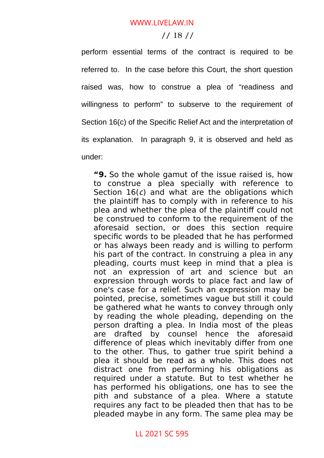#### // 18 //

perform essential terms of the contract is required to be referred to. In the case before this Court, the short question raised was, how to construe a plea of "readiness and willingness to perform" to subserve to the requirement of Section 16(c) of the Specific Relief Act and the interpretation of its explanation. In paragraph 9, it is observed and held as under:

**"9.** So the whole gamut of the issue raised is, how to construe a plea specially with reference to Section  $16(c)$  and what are the obligations which the plaintiff has to comply with in reference to his plea and whether the plea of the plaintiff could not be construed to conform to the requirement of the aforesaid section, or does this section require specific words to be pleaded that he has performed or has always been ready and is willing to perform his part of the contract. In construing a plea in any pleading, courts must keep in mind that a plea is not an expression of art and science but an expression through words to place fact and law of one's case for a relief. Such an expression may be pointed, precise, sometimes vague but still it could be gathered what he wants to convey through only by reading the whole pleading, depending on the person drafting a plea. In India most of the pleas are drafted by counsel hence the aforesaid difference of pleas which inevitably differ from one to the other. Thus, to gather true spirit behind a plea it should be read as a whole. This does not distract one from performing his obligations as required under a statute. But to test whether he has performed his obligations, one has to see the pith and substance of a plea. Where a statute requires any fact to be pleaded then that has to be pleaded maybe in any form. The same plea may be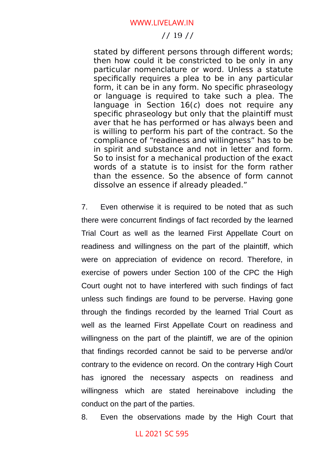#### // 19 //

stated by different persons through different words; then how could it be constricted to be only in any particular nomenclature or word. Unless a statute specifically requires a plea to be in any particular form, it can be in any form. No specific phraseology or language is required to take such a plea. The language in Section  $16(c)$  does not require any specific phraseology but only that the plaintiff must aver that he has performed or has always been and is willing to perform his part of the contract. So the compliance of "readiness and willingness" has to be in spirit and substance and not in letter and form. So to insist for a mechanical production of the exact words of a statute is to insist for the form rather than the essence. So the absence of form cannot dissolve an essence if already pleaded."

7. Even otherwise it is required to be noted that as such there were concurrent findings of fact recorded by the learned Trial Court as well as the learned First Appellate Court on readiness and willingness on the part of the plaintiff, which were on appreciation of evidence on record. Therefore, in exercise of powers under Section 100 of the CPC the High Court ought not to have interfered with such findings of fact unless such findings are found to be perverse. Having gone through the findings recorded by the learned Trial Court as well as the learned First Appellate Court on readiness and willingness on the part of the plaintiff, we are of the opinion that findings recorded cannot be said to be perverse and/or contrary to the evidence on record. On the contrary High Court has ignored the necessary aspects on readiness and willingness which are stated hereinabove including the conduct on the part of the parties.

8. Even the observations made by the High Court that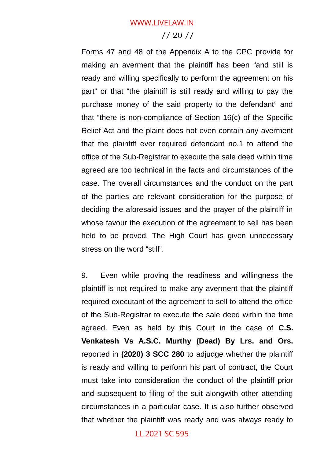#### // 20 //

Forms 47 and 48 of the Appendix A to the CPC provide for making an averment that the plaintiff has been "and still is ready and willing specifically to perform the agreement on his part" or that "the plaintiff is still ready and willing to pay the purchase money of the said property to the defendant" and that "there is non-compliance of Section 16(c) of the Specific Relief Act and the plaint does not even contain any averment that the plaintiff ever required defendant no.1 to attend the office of the Sub-Registrar to execute the sale deed within time agreed are too technical in the facts and circumstances of the case. The overall circumstances and the conduct on the part of the parties are relevant consideration for the purpose of deciding the aforesaid issues and the prayer of the plaintiff in whose favour the execution of the agreement to sell has been held to be proved. The High Court has given unnecessary stress on the word "still".

9. Even while proving the readiness and willingness the plaintiff is not required to make any averment that the plaintiff required executant of the agreement to sell to attend the office of the Sub-Registrar to execute the sale deed within the time agreed. Even as held by this Court in the case of **C.S. Venkatesh Vs A.S.C. Murthy (Dead) By Lrs. and Ors.** reported in **(2020) 3 SCC 280** to adjudge whether the plaintiff is ready and willing to perform his part of contract, the Court must take into consideration the conduct of the plaintiff prior and subsequent to filing of the suit alongwith other attending circumstances in a particular case. It is also further observed that whether the plaintiff was ready and was always ready to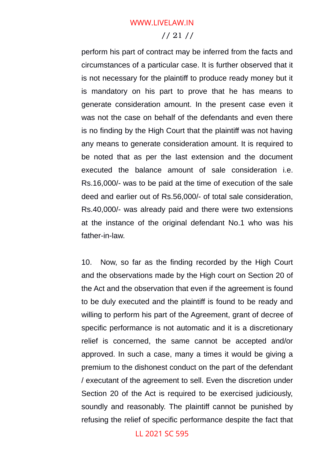#### // 21 //

perform his part of contract may be inferred from the facts and circumstances of a particular case. It is further observed that it is not necessary for the plaintiff to produce ready money but it is mandatory on his part to prove that he has means to generate consideration amount. In the present case even it was not the case on behalf of the defendants and even there is no finding by the High Court that the plaintiff was not having any means to generate consideration amount. It is required to be noted that as per the last extension and the document executed the balance amount of sale consideration i.e. Rs.16,000/- was to be paid at the time of execution of the sale deed and earlier out of Rs.56,000/- of total sale consideration, Rs.40,000/- was already paid and there were two extensions at the instance of the original defendant No.1 who was his father-in-law.

10. Now, so far as the finding recorded by the High Court and the observations made by the High court on Section 20 of the Act and the observation that even if the agreement is found to be duly executed and the plaintiff is found to be ready and willing to perform his part of the Agreement, grant of decree of specific performance is not automatic and it is a discretionary relief is concerned, the same cannot be accepted and/or approved. In such a case, many a times it would be giving a premium to the dishonest conduct on the part of the defendant / executant of the agreement to sell. Even the discretion under Section 20 of the Act is required to be exercised judiciously, soundly and reasonably. The plaintiff cannot be punished by refusing the relief of specific performance despite the fact that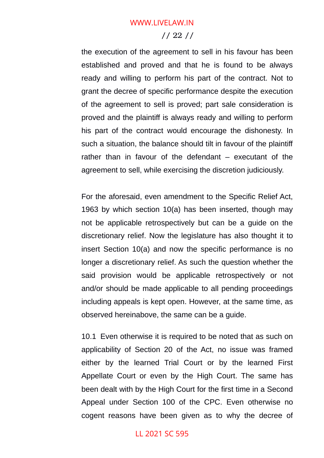#### // 22 //

the execution of the agreement to sell in his favour has been established and proved and that he is found to be always ready and willing to perform his part of the contract. Not to grant the decree of specific performance despite the execution of the agreement to sell is proved; part sale consideration is proved and the plaintiff is always ready and willing to perform his part of the contract would encourage the dishonesty. In such a situation, the balance should tilt in favour of the plaintiff rather than in favour of the defendant – executant of the agreement to sell, while exercising the discretion judiciously.

For the aforesaid, even amendment to the Specific Relief Act, 1963 by which section 10(a) has been inserted, though may not be applicable retrospectively but can be a guide on the discretionary relief. Now the legislature has also thought it to insert Section 10(a) and now the specific performance is no longer a discretionary relief. As such the question whether the said provision would be applicable retrospectively or not and/or should be made applicable to all pending proceedings including appeals is kept open. However, at the same time, as observed hereinabove, the same can be a guide.

10.1 Even otherwise it is required to be noted that as such on applicability of Section 20 of the Act, no issue was framed either by the learned Trial Court or by the learned First Appellate Court or even by the High Court. The same has been dealt with by the High Court for the first time in a Second Appeal under Section 100 of the CPC. Even otherwise no cogent reasons have been given as to why the decree of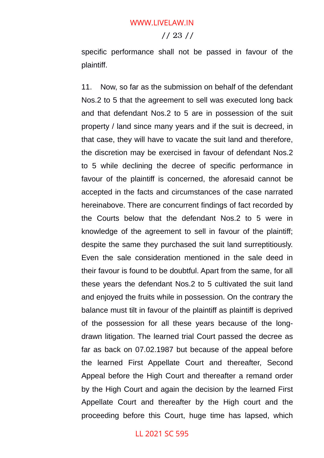#### // 23 //

specific performance shall not be passed in favour of the plaintiff.

11. Now, so far as the submission on behalf of the defendant Nos.2 to 5 that the agreement to sell was executed long back and that defendant Nos.2 to 5 are in possession of the suit property / land since many years and if the suit is decreed, in that case, they will have to vacate the suit land and therefore, the discretion may be exercised in favour of defendant Nos.2 to 5 while declining the decree of specific performance in favour of the plaintiff is concerned, the aforesaid cannot be accepted in the facts and circumstances of the case narrated hereinabove. There are concurrent findings of fact recorded by the Courts below that the defendant Nos.2 to 5 were in knowledge of the agreement to sell in favour of the plaintiff; despite the same they purchased the suit land surreptitiously. Even the sale consideration mentioned in the sale deed in their favour is found to be doubtful. Apart from the same, for all these years the defendant Nos.2 to 5 cultivated the suit land and enjoyed the fruits while in possession. On the contrary the balance must tilt in favour of the plaintiff as plaintiff is deprived of the possession for all these years because of the longdrawn litigation. The learned trial Court passed the decree as far as back on 07.02.1987 but because of the appeal before the learned First Appellate Court and thereafter, Second Appeal before the High Court and thereafter a remand order by the High Court and again the decision by the learned First Appellate Court and thereafter by the High court and the proceeding before this Court, huge time has lapsed, which